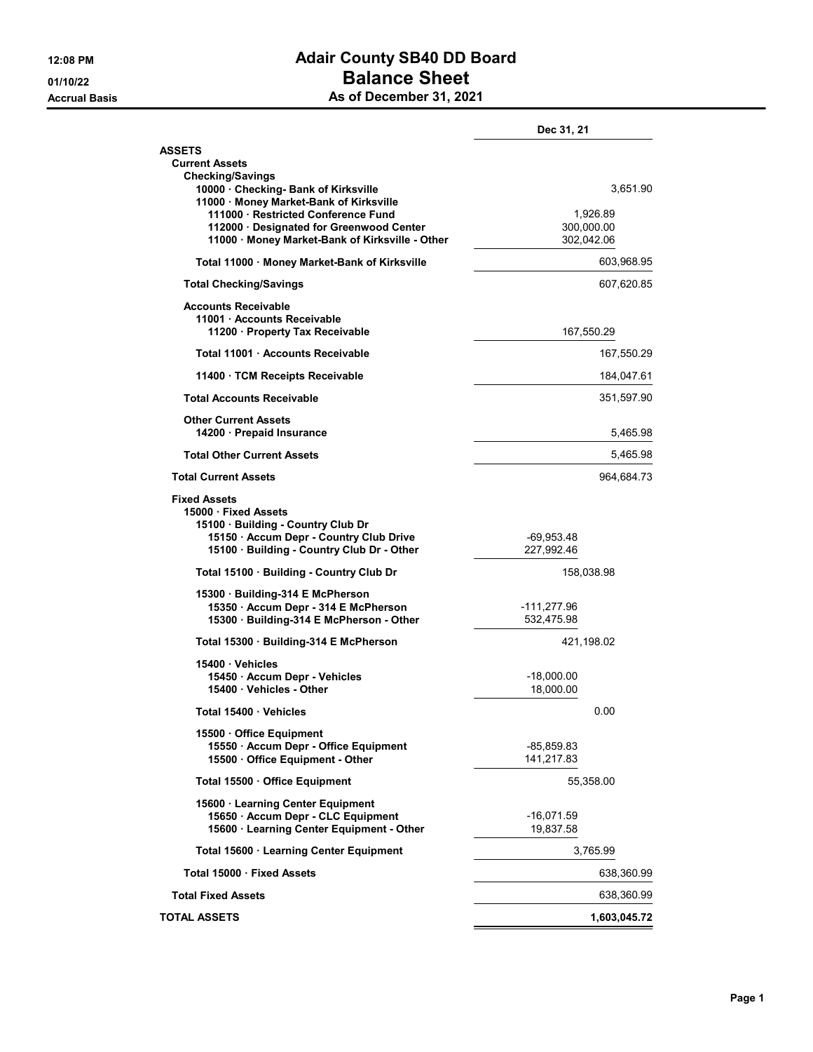## 12:08 PM **Adair County SB40 DD Board DEAL OF A SHEET AND STREET ASSAULT A SHEET AND SHEET A SHEET AND SHEET A SHEET AND SHEET A SHEET AND SHEET A SHEET AND SHEET A SHEET AND SHEET A SHEET AND SHEET A SHEET AND SHEET A SHEET AND SHEET A SHEET AND SHEET A SHEE** As of December 31, 2021

|  | As of December 31, 2021 |  |  |  |
|--|-------------------------|--|--|--|
|--|-------------------------|--|--|--|

|                                                                                                                                                                          | Dec 31, 21                           |  |
|--------------------------------------------------------------------------------------------------------------------------------------------------------------------------|--------------------------------------|--|
| <b>ASSETS</b><br><b>Current Assets</b>                                                                                                                                   |                                      |  |
| <b>Checking/Savings</b><br>10000 · Checking- Bank of Kirksville<br>11000 · Money Market-Bank of Kirksville                                                               | 3,651.90                             |  |
| 111000 · Restricted Conference Fund<br>112000 Designated for Greenwood Center<br>11000 · Money Market-Bank of Kirksville - Other                                         | 1,926.89<br>300,000.00<br>302,042.06 |  |
| Total 11000 · Money Market-Bank of Kirksville                                                                                                                            | 603,968.95                           |  |
| <b>Total Checking/Savings</b>                                                                                                                                            | 607,620.85                           |  |
| <b>Accounts Receivable</b><br>11001 · Accounts Receivable<br>11200 · Property Tax Receivable                                                                             | 167,550.29                           |  |
| Total 11001 Accounts Receivable                                                                                                                                          | 167,550.29                           |  |
| 11400 · TCM Receipts Receivable                                                                                                                                          | 184,047.61                           |  |
| <b>Total Accounts Receivable</b>                                                                                                                                         | 351,597.90                           |  |
| <b>Other Current Assets</b><br>14200 · Prepaid Insurance                                                                                                                 | 5,465.98                             |  |
| <b>Total Other Current Assets</b>                                                                                                                                        | 5,465.98                             |  |
| <b>Total Current Assets</b>                                                                                                                                              | 964,684.73                           |  |
| <b>Fixed Assets</b><br>15000 Fixed Assets<br>15100 · Building - Country Club Dr<br>15150 · Accum Depr - Country Club Drive<br>15100 · Building - Country Club Dr - Other | -69,953.48<br>227,992.46             |  |
| Total 15100 Building - Country Club Dr                                                                                                                                   | 158,038.98                           |  |
| 15300 · Building-314 E McPherson<br>15350 · Accum Depr - 314 E McPherson<br>15300 · Building-314 E McPherson - Other                                                     | $-111,277.96$<br>532,475.98          |  |
| Total 15300 · Building-314 E McPherson                                                                                                                                   | 421,198.02                           |  |
| 15400 Vehicles<br>15450 - Accum Depr - Vehicles<br>15400 Vehicles - Other                                                                                                | -18,000.00<br>18,000.00              |  |
| Total 15400 Vehicles                                                                                                                                                     | 0.00                                 |  |
| 15500 Office Equipment<br>15550 · Accum Depr - Office Equipment<br>15500 Office Equipment - Other                                                                        | -85,859.83<br>141.217.83             |  |
| Total 15500 · Office Equipment                                                                                                                                           | 55,358.00                            |  |
| 15600 · Learning Center Equipment<br>15650 · Accum Depr - CLC Equipment<br>15600 · Learning Center Equipment - Other                                                     | $-16,071.59$<br>19,837.58            |  |
| Total 15600 · Learning Center Equipment                                                                                                                                  | 3,765.99                             |  |
| Total 15000 · Fixed Assets                                                                                                                                               | 638,360.99                           |  |
| <b>Total Fixed Assets</b>                                                                                                                                                | 638,360.99                           |  |
| <b>TOTAL ASSETS</b>                                                                                                                                                      | 1,603,045.72                         |  |